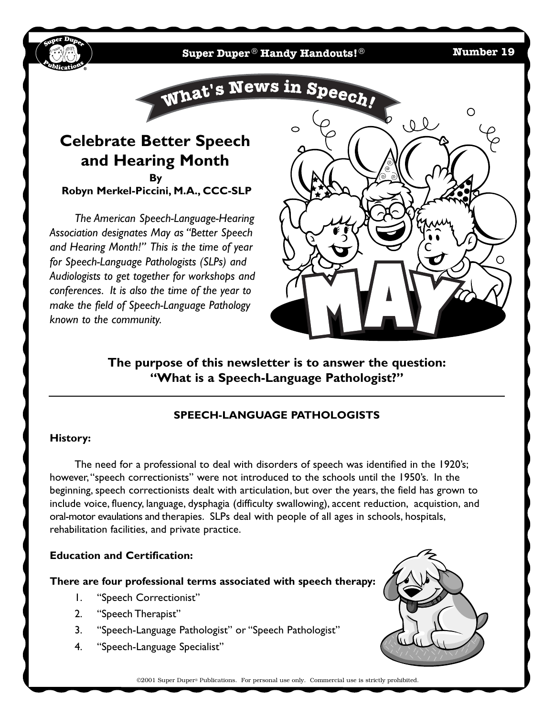**Super Duper** ® **Handy Handouts!**® **Number 19**



**Robyn Merkel-Piccini, M.A., CCC-SLP**

*The American Speech-Language-Hearing Association designates May as "Better Speech and Hearing Month!" This is the time of year for Speech-Language Pathologists (SLPs) and Audiologists to get together for workshops and conferences. It is also the time of the year to make the field of Speech-Language Pathology known to the community.*



**The purpose of this newsletter is to answer the question: "What is a Speech-Language Pathologist?"**

# **SPEECH-LANGUAGE PATHOLOGISTS**

## **History:**

The need for a professional to deal with disorders of speech was identified in the 1920's; however,"speech correctionists" were not introduced to the schools until the 1950's. In the beginning, speech correctionists dealt with articulation, but over the years, the field has grown to include voice, fluency, language, dysphagia (difficulty swallowing), accent reduction, acquistion, and oral-motor evaulations and therapies. SLPs deal with people of all ages in schools, hospitals, rehabilitation facilities, and private practice.

## **Education and Certification:**

## **There are four professional terms associated with speech therapy:**

- 1. "Speech Correctionist"
- 2. "Speech Therapist"
- 3. "Speech-Language Pathologist" or "Speech Pathologist"
- 4. "Speech-Language Specialist"



©2001 Super Duper® Publications. For personal use only. Commercial use is strictly prohibited.